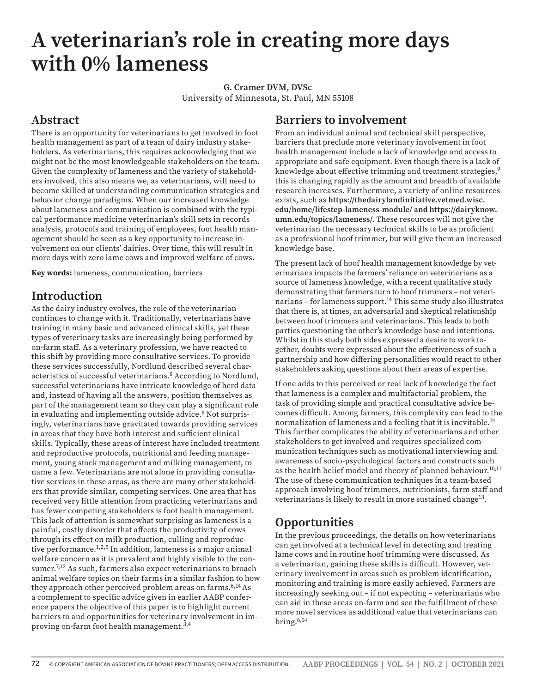# **A veterinarian's role in creating more days with 0% lameness**

**G. Cramer DVM, DVSc** University of Minnesota, St. Paul, MN 55108

# **Abstract**

There is an opportunity for veterinarians to get involved in foot health management as part of a team of dairy industry stakeholders. As veterinarians, this requires acknowledging that we might not be the most knowledgeable stakeholders on the team. Given the complexity of lameness and the variety of stakeholders involved, this also means we, as veterinarians, will need to become skilled at understanding communication strategies and behavior change paradigms. When our increased knowledge about lameness and communication is combined with the typical performance medicine veterinarian's skill sets in records analysis, protocols and training of employees, foot health management should be seen as a key opportunity to increase involvement on our clients' dairies. Over time, this will result in more days with zero lame cows and improved welfare of cows.

**Key words:** lameness, communication, barriers

## **Introduction**

As the dairy industry evolves, the role of the veterinarian continues to change with it. Traditionally, veterinarians have training in many basic and advanced clinical skills, yet these types of veterinary tasks are increasingly being performed by on-farm staff. As a veterinary profession, we have reacted to this shift by providing more consultative services. To provide these services successfully, Nordlund described several characteristics of successful veterinarians.8 According to Nordlund, successful veterinarians have intricate knowledge of herd data and, instead of having all the answers, position themselves as part of the management team so they can play a significant role in evaluating and implementing outside advice.<sup>8</sup> Not surprisingly, veterinarians have gravitated towards providing services in areas that they have both interest and sufficient clinical skills. Typically, these areas of interest have included treatment and reproductive protocols, nutritional and feeding management, young stock management and milking management, to name a few. Veterinarians are not alone in providing consultative services in these areas, as there are many other stakeholders that provide similar, competing services. One area that has received very little attention from practicing veterinarians and has fewer competing stakeholders is foot health management. This lack of attention is somewhat surprising as lameness is a painful, costly disorder that affects the productivity of cows through its effect on milk production, culling and reproductive performance.1,2,5 In addition, lameness is a major animal welfare concern as it is prevalent and highly visible to the consumer.<sup>7,12</sup> As such, farmers also expect veterinarians to broach animal welfare topics on their farms in a similar fashion to how they approach other perceived problem areas on farms.<sup>6,14</sup> As a complement to specific advice given in earlier AABP conference papers the objective of this paper is to highlight current barriers to and opportunities for veterinary involvement in improving on-farm foot health management.<sup>3,4</sup>

#### **Barriers to involvement**

From an individual animal and technical skill perspective, barriers that preclude more veterinary involvement in foot health management include a lack of knowledge and access to appropriate and safe equipment. Even though there is a lack of knowledge about effective trimming and treatment strategies,<sup>9</sup> this is changing rapidly as the amount and breadth of available research increases. Furthermore, a variety of online resources exists, such as **https://thedairylandinitiative.vetmed.wisc. edu/home/lifestep-lameness-module/ and https://dairyknow. umn.edu/topics/lameness/**. These resources will not give the veterinarian the necessary technical skills to be as proficient as a professional hoof trimmer, but will give them an increased knowledge base.

The present lack of hoof health management knowledge by veterinarians impacts the farmers' reliance on veterinarians as a source of lameness knowledge, with a recent qualitative study demonstrating that farmers turn to hoof trimmers – not veterinarians - for lameness support.<sup>14</sup> This same study also illustrates that there is, at times, an adversarial and skeptical relationship between hoof trimmers and veterinarians. This leads to both parties questioning the other's knowledge base and intentions. Whilst in this study both sides expressed a desire to work together, doubts were expressed about the effectiveness of such a partnership and how differing personalities would react to other stakeholders asking questions about their areas of expertise.

If one adds to this perceived or real lack of knowledge the fact that lameness is a complex and multifactorial problem, the task of providing simple and practical consultative advice becomes difficult. Among farmers, this complexity can lead to the normalization of lameness and a feeling that it is inevitable.<sup>14</sup> This further complicates the ability of veterinarians and other stakeholders to get involved and requires specialized communication techniques such as motivational interviewing and awareness of socio-psychological factors and constructs such as the health belief model and theory of planned behaviour.<sup>10,11</sup> The use of these communication techniques in a team-based approach involving hoof trimmers, nutritionists, farm staff and veterinarians is likely to result in more sustained change<sup>13</sup>.

# **Opportunities**

In the previous proceedings, the details on how veterinarians can get involved at a technical level in detecting and treating lame cows and in routine hoof trimming were discussed. As a veterinarian, gaining these skills is difficult. However, veterinary involvement in areas such as problem identification, monitoring and training is more easily achieved. Farmers are increasingly seeking out – if not expecting – veterinarians who can aid in these areas on-farm and see the fulfillment of these more novel services as additional value that veterinarians can bring. $6,14$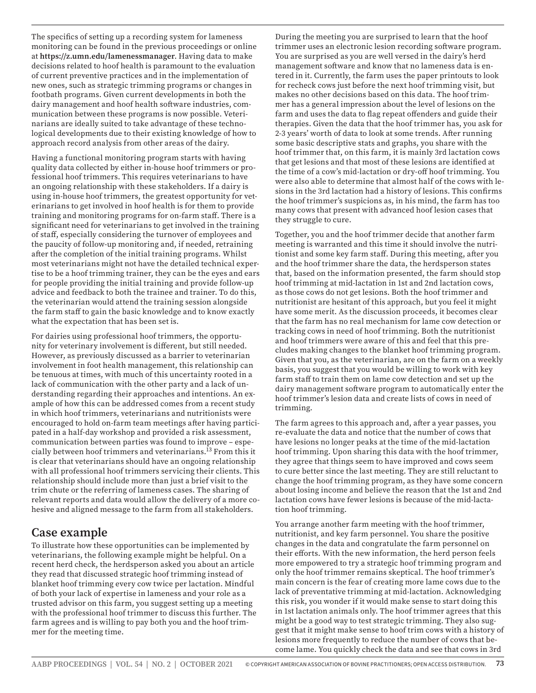The specifics of setting up a recording system for lameness monitoring can be found in the previous proceedings or online at **https://z.umn.edu/lamenessmanager**. Having data to make decisions related to hoof health is paramount to the evaluation of current preventive practices and in the implementation of new ones, such as strategic trimming programs or changes in footbath programs. Given current developments in both the dairy management and hoof health software industries, communication between these programs is now possible. Veterinarians are ideally suited to take advantage of these technological developments due to their existing knowledge of how to approach record analysis from other areas of the dairy.

Having a functional monitoring program starts with having quality data collected by either in-house hoof trimmers or professional hoof trimmers. This requires veterinarians to have an ongoing relationship with these stakeholders. If a dairy is using in-house hoof trimmers, the greatest opportunity for veterinarians to get involved in hoof health is for them to provide training and monitoring programs for on-farm staff. There is a significant need for veterinarians to get involved in the training of staff, especially considering the turnover of employees and the paucity of follow-up monitoring and, if needed, retraining after the completion of the initial training programs. Whilst most veterinarians might not have the detailed technical expertise to be a hoof trimming trainer, they can be the eyes and ears for people providing the initial training and provide follow-up advice and feedback to both the trainee and trainer. To do this, the veterinarian would attend the training session alongside the farm staff to gain the basic knowledge and to know exactly what the expectation that has been set is.

For dairies using professional hoof trimmers, the opportunity for veterinary involvement is different, but still needed. However, as previously discussed as a barrier to veterinarian involvement in foot health management, this relationship can be tenuous at times, with much of this uncertainty rooted in a lack of communication with the other party and a lack of understanding regarding their approaches and intentions. An example of how this can be addressed comes from a recent study in which hoof trimmers, veterinarians and nutritionists were encouraged to hold on-farm team meetings after having participated in a half-day workshop and provided a risk assessment, communication between parties was found to improve – especially between hoof trimmers and veterinarians.13 From this it is clear that veterinarians should have an ongoing relationship with all professional hoof trimmers servicing their clients. This relationship should include more than just a brief visit to the trim chute or the referring of lameness cases. The sharing of relevant reports and data would allow the delivery of a more cohesive and aligned message to the farm from all stakeholders.

#### **Case example**

To illustrate how these opportunities can be implemented by veterinarians, the following example might be helpful. On a recent herd check, the herdsperson asked you about an article they read that discussed strategic hoof trimming instead of blanket hoof trimming every cow twice per lactation. Mindful of both your lack of expertise in lameness and your role as a trusted advisor on this farm, you suggest setting up a meeting with the professional hoof trimmer to discuss this further. The farm agrees and is willing to pay both you and the hoof trimmer for the meeting time.

During the meeting you are surprised to learn that the hoof trimmer uses an electronic lesion recording software program. You are surprised as you are well versed in the dairy's herd management software and know that no lameness data is entered in it. Currently, the farm uses the paper printouts to look for recheck cows just before the next hoof trimming visit, but makes no other decisions based on this data. The hoof trimmer has a general impression about the level of lesions on the farm and uses the data to flag repeat offenders and guide their therapies. Given the data that the hoof trimmer has, you ask for 2-3 years' worth of data to look at some trends. After running some basic descriptive stats and graphs, you share with the hoof trimmer that, on this farm, it is mainly 3rd lactation cows that get lesions and that most of these lesions are identified at the time of a cow's mid-lactation or dry-off hoof trimming. You were also able to determine that almost half of the cows with lesions in the 3rd lactation had a history of lesions. This confirms the hoof trimmer's suspicions as, in his mind, the farm has too many cows that present with advanced hoof lesion cases that they struggle to cure.

Together, you and the hoof trimmer decide that another farm meeting is warranted and this time it should involve the nutritionist and some key farm staff. During this meeting, after you and the hoof trimmer share the data, the herdsperson states that, based on the information presented, the farm should stop hoof trimming at mid-lactation in 1st and 2nd lactation cows, as those cows do not get lesions. Both the hoof trimmer and nutritionist are hesitant of this approach, but you feel it might have some merit. As the discussion proceeds, it becomes clear that the farm has no real mechanism for lame cow detection or tracking cows in need of hoof trimming. Both the nutritionist and hoof trimmers were aware of this and feel that this precludes making changes to the blanket hoof trimming program. Given that you, as the veterinarian, are on the farm on a weekly basis, you suggest that you would be willing to work with key farm staff to train them on lame cow detection and set up the dairy management software program to automatically enter the hoof trimmer's lesion data and create lists of cows in need of trimming.

The farm agrees to this approach and, after a year passes, you re-evaluate the data and notice that the number of cows that have lesions no longer peaks at the time of the mid-lactation hoof trimming. Upon sharing this data with the hoof trimmer, they agree that things seem to have improved and cows seem to cure better since the last meeting. They are still reluctant to change the hoof trimming program, as they have some concern about losing income and believe the reason that the 1st and 2nd lactation cows have fewer lesions is because of the mid-lactation hoof trimming.

You arrange another farm meeting with the hoof trimmer, nutritionist, and key farm personnel. You share the positive changes in the data and congratulate the farm personnel on their efforts. With the new information, the herd person feels more empowered to try a strategic hoof trimming program and only the hoof trimmer remains skeptical. The hoof trimmer's main concern is the fear of creating more lame cows due to the lack of preventative trimming at mid-lactation. Acknowledging this risk, you wonder if it would make sense to start doing this in 1st lactation animals only. The hoof trimmer agrees that this might be a good way to test strategic trimming. They also suggest that it might make sense to hoof trim cows with a history of lesions more frequently to reduce the number of cows that become lame. You quickly check the data and see that cows in 3rd